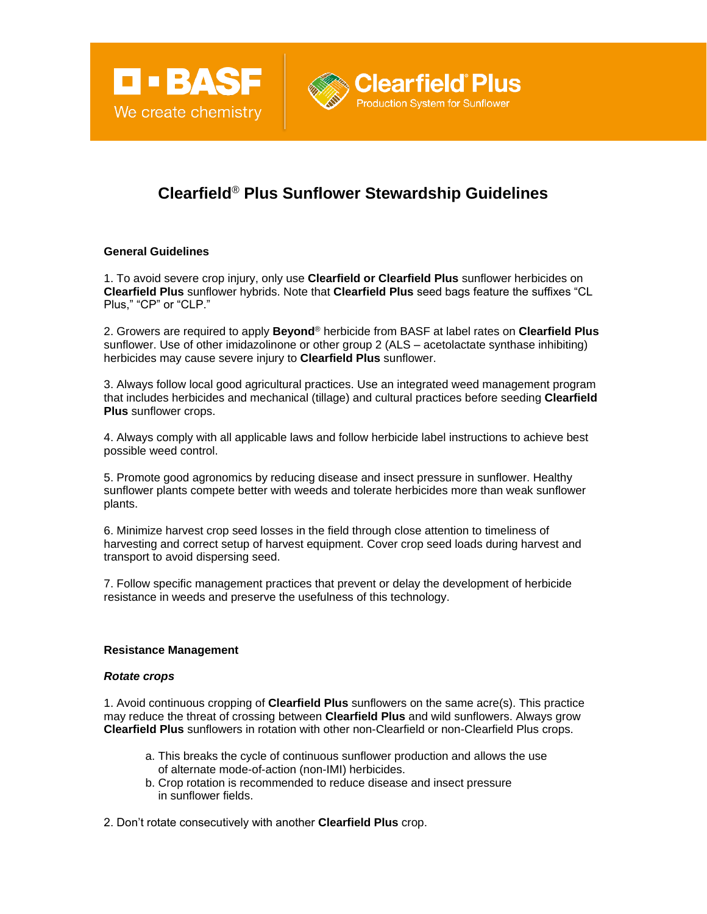



# **Clearfield**® **Plus Sunflower Stewardship Guidelines**

# **General Guidelines**

1. To avoid severe crop injury, only use **Clearfield or Clearfield Plus** sunflower herbicides on **Clearfield Plus** sunflower hybrids. Note that **Clearfield Plus** seed bags feature the suffixes "CL Plus," "CP" or "CLP."

2. Growers are required to apply **Beyond**® herbicide from BASF at label rates on **Clearfield Plus** sunflower. Use of other imidazolinone or other group 2 (ALS – acetolactate synthase inhibiting) herbicides may cause severe injury to **Clearfield Plus** sunflower.

3. Always follow local good agricultural practices. Use an integrated weed management program that includes herbicides and mechanical (tillage) and cultural practices before seeding **Clearfield Plus** sunflower crops.

4. Always comply with all applicable laws and follow herbicide label instructions to achieve best possible weed control.

5. Promote good agronomics by reducing disease and insect pressure in sunflower. Healthy sunflower plants compete better with weeds and tolerate herbicides more than weak sunflower plants.

6. Minimize harvest crop seed losses in the field through close attention to timeliness of harvesting and correct setup of harvest equipment. Cover crop seed loads during harvest and transport to avoid dispersing seed.

7. Follow specific management practices that prevent or delay the development of herbicide resistance in weeds and preserve the usefulness of this technology.

#### **Resistance Management**

#### *Rotate crops*

1. Avoid continuous cropping of **Clearfield Plus** sunflowers on the same acre(s). This practice may reduce the threat of crossing between **Clearfield Plus** and wild sunflowers. Always grow **Clearfield Plus** sunflowers in rotation with other non-Clearfield or non-Clearfield Plus crops.

- a. This breaks the cycle of continuous sunflower production and allows the use of alternate mode-of-action (non-IMI) herbicides.
- b. Crop rotation is recommended to reduce disease and insect pressure in sunflower fields.
- 2. Don't rotate consecutively with another **Clearfield Plus** crop.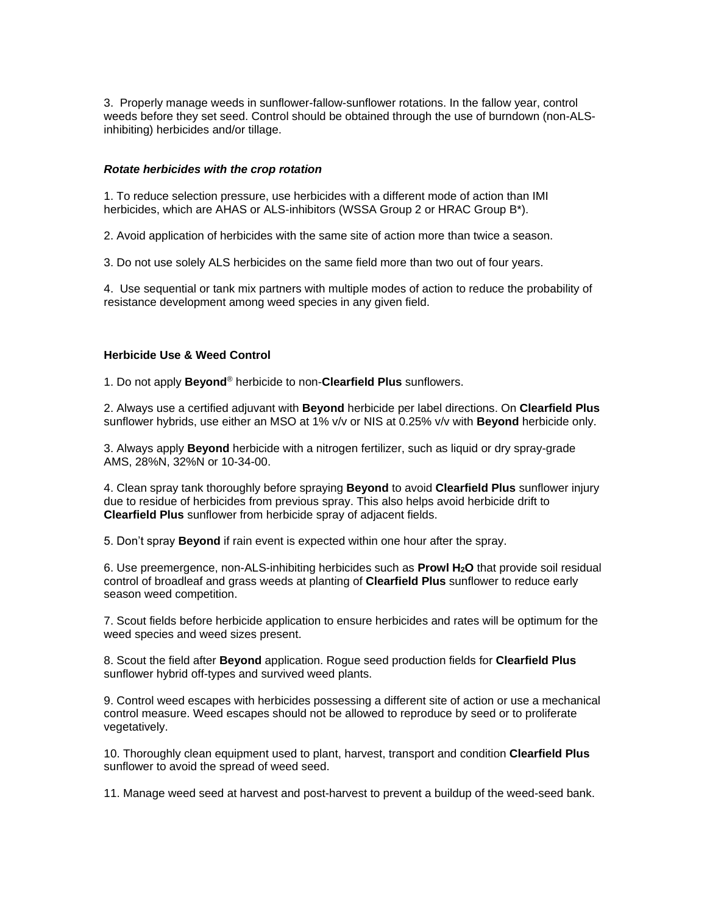3. Properly manage weeds in sunflower-fallow-sunflower rotations. In the fallow year, control weeds before they set seed. Control should be obtained through the use of burndown (non-ALSinhibiting) herbicides and/or tillage.

### *Rotate herbicides with the crop rotation*

1. To reduce selection pressure, use herbicides with a different mode of action than IMI herbicides, which are AHAS or ALS-inhibitors (WSSA Group 2 or HRAC Group B\*).

2. Avoid application of herbicides with the same site of action more than twice a season.

3. Do not use solely ALS herbicides on the same field more than two out of four years.

4. Use sequential or tank mix partners with multiple modes of action to reduce the probability of resistance development among weed species in any given field.

# **Herbicide Use & Weed Control**

1. Do not apply **Beyond**® herbicide to non-**Clearfield Plus** sunflowers.

2. Always use a certified adjuvant with **Beyond** herbicide per label directions. On **Clearfield Plus** sunflower hybrids, use either an MSO at 1% v/v or NIS at 0.25% v/v with **Beyond** herbicide only.

3. Always apply **Beyond** herbicide with a nitrogen fertilizer, such as liquid or dry spray-grade AMS, 28%N, 32%N or 10-34-00.

4. Clean spray tank thoroughly before spraying **Beyond** to avoid **Clearfield Plus** sunflower injury due to residue of herbicides from previous spray. This also helps avoid herbicide drift to **Clearfield Plus** sunflower from herbicide spray of adjacent fields.

5. Don't spray **Beyond** if rain event is expected within one hour after the spray.

6. Use preemergence, non-ALS-inhibiting herbicides such as **Prowl H2O** that provide soil residual control of broadleaf and grass weeds at planting of **Clearfield Plus** sunflower to reduce early season weed competition.

7. Scout fields before herbicide application to ensure herbicides and rates will be optimum for the weed species and weed sizes present.

8. Scout the field after **Beyond** application. Rogue seed production fields for **Clearfield Plus** sunflower hybrid off-types and survived weed plants.

9. Control weed escapes with herbicides possessing a different site of action or use a mechanical control measure. Weed escapes should not be allowed to reproduce by seed or to proliferate vegetatively.

10. Thoroughly clean equipment used to plant, harvest, transport and condition **Clearfield Plus** sunflower to avoid the spread of weed seed.

11. Manage weed seed at harvest and post-harvest to prevent a buildup of the weed-seed bank.